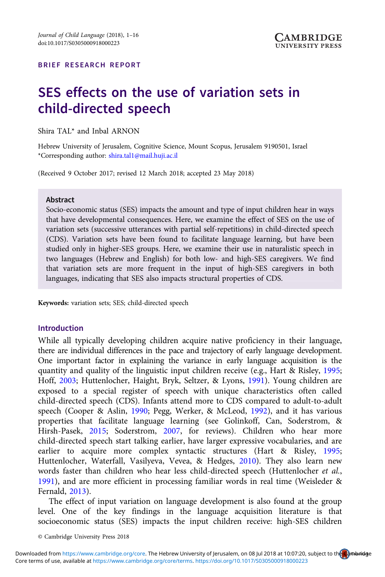## BRIEF RESEARCH REPORT

# SES effects on the use of variation sets in child-directed speech

Shira TAL\* and Inbal ARNON

Hebrew University of Jerusalem, Cognitive Science, Mount Scopus, Jerusalem 9190501, Israel \*Corresponding author: [shira.tal1@mail.huji.ac.il](mailto:shira.tal1@mail.huji.ac.il)

(Received 9 October 2017; revised 12 March 2018; accepted 23 May 2018)

#### Abstract

Socio-economic status (SES) impacts the amount and type of input children hear in ways that have developmental consequences. Here, we examine the effect of SES on the use of variation sets (successive utterances with partial self-repetitions) in child-directed speech (CDS). Variation sets have been found to facilitate language learning, but have been studied only in higher-SES groups. Here, we examine their use in naturalistic speech in two languages (Hebrew and English) for both low- and high-SES caregivers. We find that variation sets are more frequent in the input of high-SES caregivers in both languages, indicating that SES also impacts structural properties of CDS.

Keywords: variation sets; SES; child-directed speech

#### Introduction

While all typically developing children acquire native proficiency in their language, there are individual differences in the pace and trajectory of early language development. One important factor in explaining the variance in early language acquisition is the quantity and quality of the linguistic input children receive (e.g., Hart & Risley, [1995;](#page-13-0) Hoff, [2003](#page-13-0); Huttenlocher, Haight, Bryk, Seltzer, & Lyons, [1991](#page-13-0)). Young children are exposed to a special register of speech with unique characteristics often called child-directed speech (CDS). Infants attend more to CDS compared to adult-to-adult speech (Cooper & Aslin, [1990](#page-13-0); Pegg, Werker, & McLeod, [1992](#page-14-0)), and it has various properties that facilitate language learning (see Golinkoff, Can, Soderstrom, & Hirsh-Pasek, [2015;](#page-13-0) Soderstrom, [2007,](#page-14-0) for reviews). Children who hear more child-directed speech start talking earlier, have larger expressive vocabularies, and are earlier to acquire more complex syntactic structures (Hart & Risley, [1995;](#page-13-0) Huttenlocher, Waterfall, Vasilyeva, Vevea, & Hedges, [2010\)](#page-13-0). They also learn new words faster than children who hear less child-directed speech (Huttenlocher et al., [1991](#page-13-0)), and are more efficient in processing familiar words in real time (Weisleder & Fernald, [2013](#page-14-0)).

The effect of input variation on language development is also found at the group level. One of the key findings in the language acquisition literature is that socioeconomic status (SES) impacts the input children receive: high-SES children

© Cambridge University Press 2018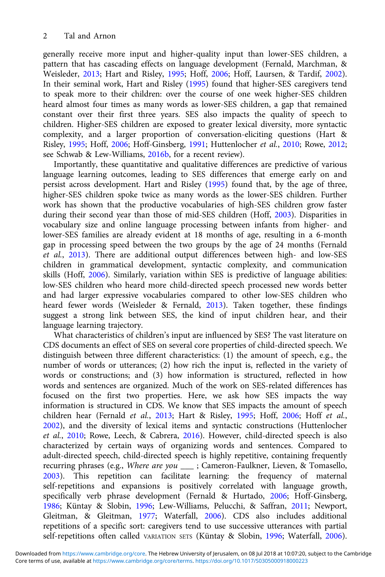generally receive more input and higher-quality input than lower-SES children, a pattern that has cascading effects on language development (Fernald, Marchman, & Weisleder, [2013;](#page-13-0) Hart and Risley, [1995](#page-13-0); Hoff, [2006](#page-13-0); Hoff, Laursen, & Tardif, [2002\)](#page-13-0). In their seminal work, Hart and Risley [\(1995](#page-13-0)) found that higher-SES caregivers tend to speak more to their children: over the course of one week higher-SES children heard almost four times as many words as lower-SES children, a gap that remained constant over their first three years. SES also impacts the quality of speech to children. Higher-SES children are exposed to greater lexical diversity, more syntactic complexity, and a larger proportion of conversation-eliciting questions (Hart & Risley, [1995](#page-13-0); Hoff, [2006](#page-13-0); Hoff-Ginsberg, [1991](#page-13-0); Huttenlocher et al., [2010](#page-13-0); Rowe, [2012](#page-14-0); see Schwab & Lew-Williams, [2016b](#page-14-0), for a recent review).

Importantly, these quantitative and qualitative differences are predictive of various language learning outcomes, leading to SES differences that emerge early on and persist across development. Hart and Risley ([1995\)](#page-13-0) found that, by the age of three, higher-SES children spoke twice as many words as the lower-SES children. Further work has shown that the productive vocabularies of high-SES children grow faster during their second year than those of mid-SES children (Hoff, [2003\)](#page-13-0). Disparities in vocabulary size and online language processing between infants from higher- and lower-SES families are already evident at 18 months of age, resulting in a 6-month gap in processing speed between the two groups by the age of 24 months (Fernald et al., [2013\)](#page-13-0). There are additional output differences between high- and low-SES children in grammatical development, syntactic complexity, and communication skills (Hoff, [2006\)](#page-13-0). Similarly, variation within SES is predictive of language abilities: low-SES children who heard more child-directed speech processed new words better and had larger expressive vocabularies compared to other low-SES children who heard fewer words (Weisleder & Fernald, [2013\)](#page-14-0). Taken together, these findings suggest a strong link between SES, the kind of input children hear, and their language learning trajectory.

What characteristics of children's input are influenced by SES? The vast literature on CDS documents an effect of SES on several core properties of child-directed speech. We distinguish between three different characteristics: (1) the amount of speech, e.g., the number of words or utterances; (2) how rich the input is, reflected in the variety of words or constructions; and (3) how information is structured, reflected in how words and sentences are organized. Much of the work on SES-related differences has focused on the first two properties. Here, we ask how SES impacts the way information is structured in CDS. We know that SES impacts the amount of speech children hear (Fernald et al., [2013;](#page-13-0) Hart & Risley, [1995;](#page-13-0) Hoff, [2006;](#page-13-0) Hoff et al., [2002\)](#page-13-0), and the diversity of lexical items and syntactic constructions (Huttenlocher et al., [2010;](#page-13-0) Rowe, Leech, & Cabrera, [2016\)](#page-14-0). However, child-directed speech is also characterized by certain ways of organizing words and sentences. Compared to adult-directed speech, child-directed speech is highly repetitive, containing frequently recurring phrases (e.g., Where are you \_\_\_ ; Cameron-Faulkner, Lieven, & Tomasello, [2003\)](#page-13-0). This repetition can facilitate learning: the frequency of maternal self-repetitions and expansions is positively correlated with language growth, specifically verb phrase development (Fernald & Hurtado, [2006](#page-13-0); Hoff-Ginsberg, [1986;](#page-13-0) Küntay & Slobin, [1996;](#page-13-0) Lew-Williams, Pelucchi, & Saffran, [2011;](#page-13-0) Newport, Gleitman, & Gleitman, [1977;](#page-13-0) Waterfall, [2006\)](#page-14-0). CDS also includes additional repetitions of a specific sort: caregivers tend to use successive utterances with partial self-repetitions often called VARIATION SETS (Küntay & Slobin, [1996;](#page-13-0) Waterfall, [2006\)](#page-14-0).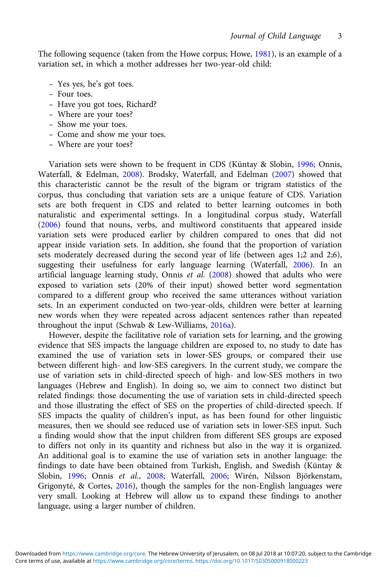The following sequence (taken from the Howe corpus; Howe, [1981\)](#page-13-0), is an example of a variation set, in which a mother addresses her two-year-old child:

- Yes yes, he's got toes.
- Four toes.
- Have you got toes, Richard?
- Where are your toes?
- Show me your toes.
- Come and show me your toes.
- Where are your toes?

Variation sets were shown to be frequent in CDS (Küntay & Slobin, [1996;](#page-13-0) Onnis, Waterfall, & Edelman, [2008\)](#page-14-0). Brodsky, Waterfall, and Edelman ([2007](#page-13-0)) showed that this characteristic cannot be the result of the bigram or trigram statistics of the corpus, thus concluding that variation sets are a unique feature of CDS. Variation sets are both frequent in CDS and related to better learning outcomes in both naturalistic and experimental settings. In a longitudinal corpus study, Waterfall ([2006\)](#page-14-0) found that nouns, verbs, and multiword constituents that appeared inside variation sets were produced earlier by children compared to ones that did not appear inside variation sets. In addition, she found that the proportion of variation sets moderately decreased during the second year of life (between ages 1;2 and 2;6), suggesting their usefulness for early language learning (Waterfall, [2006\)](#page-14-0). In an artificial language learning study, Onnis et al. [\(2008\)](#page-14-0) showed that adults who were exposed to variation sets (20% of their input) showed better word segmentation compared to a different group who received the same utterances without variation sets. In an experiment conducted on two-year-olds, children were better at learning new words when they were repeated across adjacent sentences rather than repeated throughout the input (Schwab & Lew-Williams, [2016a](#page-14-0)).

However, despite the facilitative role of variation sets for learning, and the growing evidence that SES impacts the language children are exposed to, no study to date has examined the use of variation sets in lower-SES groups, or compared their use between different high- and low-SES caregivers. In the current study, we compare the use of variation sets in child-directed speech of high- and low-SES mothers in two languages (Hebrew and English). In doing so, we aim to connect two distinct but related findings: those documenting the use of variation sets in child-directed speech and those illustrating the effect of SES on the properties of child-directed speech. If SES impacts the quality of children's input, as has been found for other linguistic measures, then we should see reduced use of variation sets in lower-SES input. Such a finding would show that the input children from different SES groups are exposed to differs not only in its quantity and richness but also in the way it is organized. An additional goal is to examine the use of variation sets in another language: the findings to date have been obtained from Turkish, English, and Swedish (Küntay & Slobin, [1996](#page-13-0); Onnis et al., [2008;](#page-14-0) Waterfall, [2006](#page-14-0); Wirén, Nilsson Björkenstam, Grigonytė, & Cortes, [2016](#page-14-0)), though the samples for the non-English languages were very small. Looking at Hebrew will allow us to expand these findings to another language, using a larger number of children.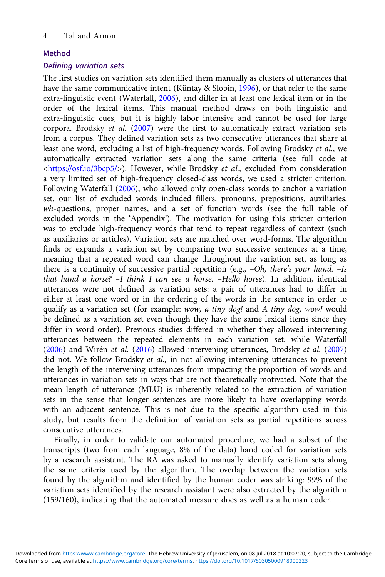# Method

# Defining variation sets

The first studies on variation sets identified them manually as clusters of utterances that have the same communicative intent (Küntay & Slobin, [1996\)](#page-13-0), or that refer to the same extra-linguistic event (Waterfall, [2006](#page-14-0)), and differ in at least one lexical item or in the order of the lexical items. This manual method draws on both linguistic and extra-linguistic cues, but it is highly labor intensive and cannot be used for large corpora. Brodsky et al. ([2007\)](#page-13-0) were the first to automatically extract variation sets from a corpus. They defined variation sets as two consecutive utterances that share at least one word, excluding a list of high-frequency words. Following Brodsky et al., we automatically extracted variation sets along the same criteria (see full code at [<https://osf.io/3bcp5/](https://osf.io/3bcp5/)>). However, while Brodsky et al., excluded from consideration a very limited set of high-frequency closed-class words, we used a stricter criterion. Following Waterfall [\(2006](#page-14-0)), who allowed only open-class words to anchor a variation set, our list of excluded words included fillers, pronouns, prepositions, auxiliaries, wh-questions, proper names, and a set of function words (see the full table of excluded words in the 'Appendix'). The motivation for using this stricter criterion was to exclude high-frequency words that tend to repeat regardless of context (such as auxiliaries or articles). Variation sets are matched over word-forms. The algorithm finds or expands a variation set by comparing two successive sentences at a time, meaning that a repeated word can change throughout the variation set, as long as there is a continuity of successive partial repetition (e.g., –Oh, there's your hand. –Is that hand a horse? –I think I can see a horse. –Hello horse). In addition, identical utterances were not defined as variation sets: a pair of utterances had to differ in either at least one word or in the ordering of the words in the sentence in order to qualify as a variation set (for example: wow, a tiny dog! and A tiny dog, wow! would be defined as a variation set even though they have the same lexical items since they differ in word order). Previous studies differed in whether they allowed intervening utterances between the repeated elements in each variation set: while Waterfall ([2006](#page-14-0)) and Wirén et al. [\(2016\)](#page-14-0) allowed intervening utterances, Brodsky et al. [\(2007\)](#page-13-0) did not. We follow Brodsky et al., in not allowing intervening utterances to prevent the length of the intervening utterances from impacting the proportion of words and utterances in variation sets in ways that are not theoretically motivated. Note that the mean length of utterance (MLU) is inherently related to the extraction of variation sets in the sense that longer sentences are more likely to have overlapping words with an adjacent sentence. This is not due to the specific algorithm used in this study, but results from the definition of variation sets as partial repetitions across consecutive utterances.

Finally, in order to validate our automated procedure, we had a subset of the transcripts (two from each language, 8% of the data) hand coded for variation sets by a research assistant. The RA was asked to manually identify variation sets along the same criteria used by the algorithm. The overlap between the variation sets found by the algorithm and identified by the human coder was striking: 99% of the variation sets identified by the research assistant were also extracted by the algorithm (159/160), indicating that the automated measure does as well as a human coder.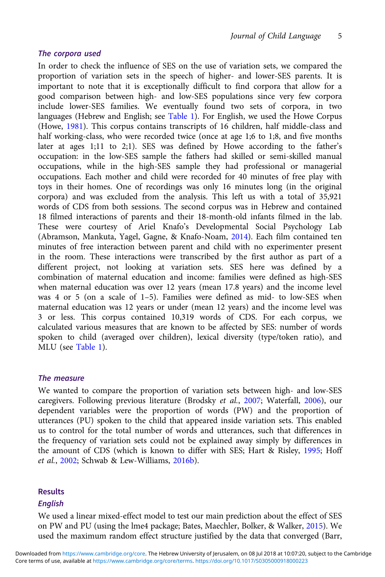#### The corpora used

In order to check the influence of SES on the use of variation sets, we compared the proportion of variation sets in the speech of higher- and lower-SES parents. It is important to note that it is exceptionally difficult to find corpora that allow for a good comparison between high- and low-SES populations since very few corpora include lower-SES families. We eventually found two sets of corpora, in two languages (Hebrew and English; see [Table 1\)](#page-5-0). For English, we used the Howe Corpus (Howe, [1981](#page-13-0)). This corpus contains transcripts of 16 children, half middle-class and half working-class, who were recorded twice (once at age 1;6 to 1;8, and five months later at ages 1;11 to 2;1). SES was defined by Howe according to the father's occupation: in the low-SES sample the fathers had skilled or semi-skilled manual occupations, while in the high-SES sample they had professional or managerial occupations. Each mother and child were recorded for 40 minutes of free play with toys in their homes. One of recordings was only 16 minutes long (in the original corpora) and was excluded from the analysis. This left us with a total of 35,921 words of CDS from both sessions. The second corpus was in Hebrew and contained 18 filmed interactions of parents and their 18-month-old infants filmed in the lab. These were courtesy of Ariel Knafo's Developmental Social Psychology Lab (Abramson, Mankuta, Yagel, Gagne, & Knafo-Noam, [2014](#page-12-0)). Each film contained ten minutes of free interaction between parent and child with no experimenter present in the room. These interactions were transcribed by the first author as part of a different project, not looking at variation sets. SES here was defined by a combination of maternal education and income: families were defined as high-SES when maternal education was over 12 years (mean 17.8 years) and the income level was  $4$  or  $5$  (on a scale of  $1-5$ ). Families were defined as mid- to low-SES when maternal education was 12 years or under (mean 12 years) and the income level was 3 or less. This corpus contained 10,319 words of CDS. For each corpus, we calculated various measures that are known to be affected by SES: number of words spoken to child (averaged over children), lexical diversity (type/token ratio), and MLU (see [Table 1](#page-5-0)).

#### The measure

We wanted to compare the proportion of variation sets between high- and low-SES caregivers. Following previous literature (Brodsky et al., [2007;](#page-13-0) Waterfall, [2006](#page-14-0)), our dependent variables were the proportion of words (PW) and the proportion of utterances (PU) spoken to the child that appeared inside variation sets. This enabled us to control for the total number of words and utterances, such that differences in the frequency of variation sets could not be explained away simply by differences in the amount of CDS (which is known to differ with SES; Hart & Risley, [1995](#page-13-0); Hoff et al., [2002](#page-13-0); Schwab & Lew-Williams, [2016b](#page-14-0)).

#### Results

#### English

We used a linear mixed-effect model to test our main prediction about the effect of SES on PW and PU (using the lme4 package; Bates, Maechler, Bolker, & Walker, [2015](#page-12-0)). We used the maximum random effect structure justified by the data that converged (Barr,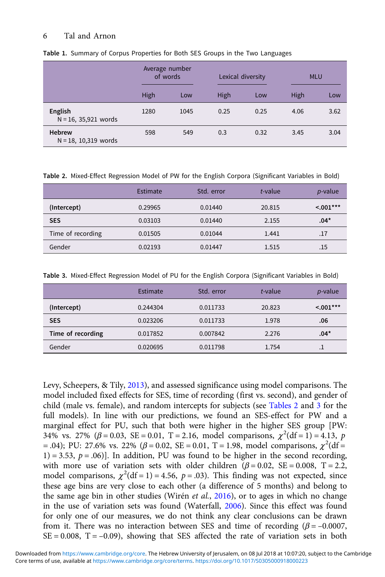## <span id="page-5-0"></span>6 Tal and Arnon

|                                          | Average number<br>of words |      | Lexical diversity |      | <b>MLU</b> |      |
|------------------------------------------|----------------------------|------|-------------------|------|------------|------|
|                                          | High                       | Low  | High              | Low  | High       | Low  |
| English<br>$N = 16$ , 35,921 words       | 1280                       | 1045 | 0.25              | 0.25 | 4.06       | 3.62 |
| <b>Hebrew</b><br>$N = 18$ , 10,319 words | 598                        | 549  | 0.3               | 0.32 | 3.45       | 3.04 |

#### Table 1. Summary of Corpus Properties for Both SES Groups in the Two Languages

Table 2. Mixed-Effect Regression Model of PW for the English Corpora (Significant Variables in Bold)

|                   | Estimate | Std. error | t-value | <i>p</i> -value |
|-------------------|----------|------------|---------|-----------------|
| (Intercept)       | 0.29965  | 0.01440    | 20.815  | $< 0.01***$     |
| <b>SES</b>        | 0.03103  | 0.01440    | 2.155   | $.04*$          |
| Time of recording | 0.01505  | 0.01044    | 1.441   | .17             |
| Gender            | 0.02193  | 0.01447    | 1.515   | .15             |

Table 3. Mixed-Effect Regression Model of PU for the English Corpora (Significant Variables in Bold)

|                   | Estimate | Std. error | $t$ -value | <i>p</i> -value |
|-------------------|----------|------------|------------|-----------------|
| (Intercept)       | 0.244304 | 0.011733   | 20.823     | $< 0.01***$     |
| <b>SES</b>        | 0.023206 | 0.011733   | 1.978      | .06             |
| Time of recording | 0.017852 | 0.007842   | 2.276      | $.04*$          |
| Gender            | 0.020695 | 0.011798   | 1.754      | $\cdot$         |

Levy, Scheepers, & Tily, [2013](#page-12-0)), and assessed significance using model comparisons. The model included fixed effects for SES, time of recording (first vs. second), and gender of child (male vs. female), and random intercepts for subjects (see Tables 2 and 3 for the full models). In line with our predictions, we found an SES-effect for PW and a marginal effect for PU, such that both were higher in the higher SES group [PW: 34% vs. 27% ( $\beta$  = 0.03, SE = 0.01, T = 2.16, model comparisons,  $\chi^2(df = 1) = 4.13$ , p = .04); PU: 27.6% vs. 22% ( $\beta$  = 0.02, SE = 0.01, T = 1.98, model comparisons,  $\chi^2$ (df = 1) = 3.53,  $p = .06$ ). In addition, PU was found to be higher in the second recording, with more use of variation sets with older children ( $\beta = 0.02$ , SE = 0.008, T = 2.2, model comparisons,  $\chi^2(df=1) = 4.56$ ,  $p = .03$ ). This finding was not expected, since these age bins are very close to each other (a difference of 5 months) and belong to the same age bin in other studies (Wirén et al., [2016](#page-14-0)), or to ages in which no change in the use of variation sets was found (Waterfall, [2006](#page-14-0)). Since this effect was found for only one of our measures, we do not think any clear conclusions can be drawn from it. There was no interaction between SES and time of recording ( $\beta$  = –0.0007,  $SE = 0.008$ ,  $T = -0.09$ ), showing that SES affected the rate of variation sets in both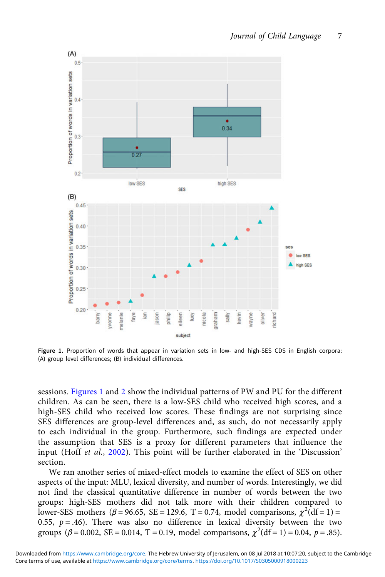

Figure 1. Proportion of words that appear in variation sets in low- and high-SES CDS in English corpora: (A) group level differences; (B) individual differences.

sessions. Figures 1 and [2](#page-7-0) show the individual patterns of PW and PU for the different children. As can be seen, there is a low-SES child who received high scores, and a high-SES child who received low scores. These findings are not surprising since SES differences are group-level differences and, as such, do not necessarily apply to each individual in the group. Furthermore, such findings are expected under the assumption that SES is a proxy for different parameters that influence the input (Hoff et al., [2002\)](#page-13-0). This point will be further elaborated in the 'Discussion' section.

We ran another series of mixed-effect models to examine the effect of SES on other aspects of the input: MLU, lexical diversity, and number of words. Interestingly, we did not find the classical quantitative difference in number of words between the two groups: high-SES mothers did not talk more with their children compared to lower-SES mothers ( $\beta$  = 96.65, SE = 129.6, T = 0.74, model comparisons,  $\chi^2(df = 1)$  = 0.55,  $p = .46$ ). There was also no difference in lexical diversity between the two groups ( $\beta$  = 0.002, SE = 0.014, T = 0.19, model comparisons,  $\chi^2$ (df = 1) = 0.04, p = .85).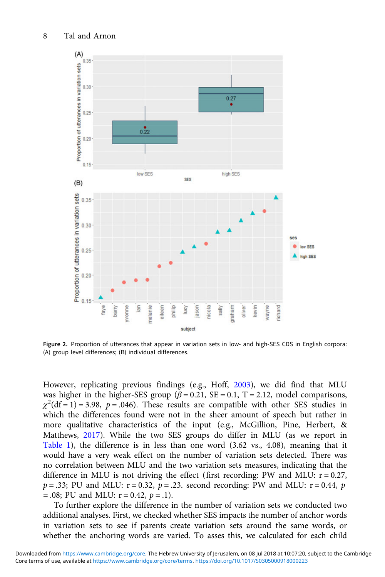<span id="page-7-0"></span>

Figure 2. Proportion of utterances that appear in variation sets in low- and high-SES CDS in English corpora: (A) group level differences; (B) individual differences.

However, replicating previous findings (e.g., Hoff, [2003](#page-13-0)), we did find that MLU was higher in the higher-SES group ( $\beta$  = 0.21, SE = 0.1, T = 2.12, model comparisons,  $\chi^2$ (df = 1) = 3.98, p = .046). These results are compatible with other SES studies in which the differences found were not in the sheer amount of speech but rather in more qualitative characteristics of the input (e.g., McGillion, Pine, Herbert, & Matthews, [2017\)](#page-13-0). While the two SES groups do differ in MLU (as we report in [Table 1](#page-5-0)), the difference is in less than one word (3.62 vs., 4.08), meaning that it would have a very weak effect on the number of variation sets detected. There was no correlation between MLU and the two variation sets measures, indicating that the difference in MLU is not driving the effect (first recording: PW and MLU:  $r = 0.27$ ,  $p = .33$ ; PU and MLU:  $r = 0.32$ ,  $p = .23$ . second recording: PW and MLU:  $r = 0.44$ ,  $p$  $= .08$ ; PU and MLU:  $r = 0.42$ ,  $p = .1$ ).

To further explore the difference in the number of variation sets we conducted two additional analyses. First, we checked whether SES impacts the number of anchor words in variation sets to see if parents create variation sets around the same words, or whether the anchoring words are varied. To asses this, we calculated for each child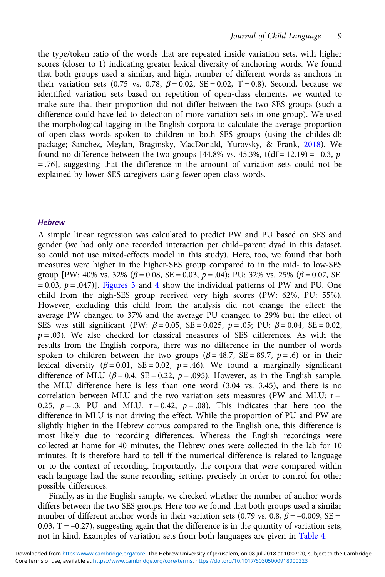the type/token ratio of the words that are repeated inside variation sets, with higher scores (closer to 1) indicating greater lexical diversity of anchoring words. We found that both groups used a similar, and high, number of different words as anchors in their variation sets (0.75 vs. 0.78,  $\beta = 0.02$ , SE = 0.02, T = 0.8). Second, because we identified variation sets based on repetition of open-class elements, we wanted to make sure that their proportion did not differ between the two SES groups (such a difference could have led to detection of more variation sets in one group). We used the morphological tagging in the English corpora to calculate the average proportion of open-class words spoken to children in both SES groups (using the childes-db package; Sanchez, Meylan, Braginsky, MacDonald, Yurovsky, & Frank, [2018\)](#page-14-0). We found no difference between the two groups [44.8% vs. 45.3%,  $t(df = 12.19) = -0.3$ , p = .76], suggesting that the difference in the amount of variation sets could not be explained by lower-SES caregivers using fewer open-class words.

#### **Hebrew**

A simple linear regression was calculated to predict PW and PU based on SES and gender (we had only one recorded interaction per child–parent dyad in this dataset, so could not use mixed-effects model in this study). Here, too, we found that both measures were higher in the higher-SES group compared to in the mid- to low-SES group [PW: 40% vs. 32% ( $\beta$  = 0.08, SE = 0.03,  $p$  = .04); PU: 32% vs. 25% ( $\beta$  = 0.07, SE  $(0.03, p = .047)$  $(0.03, p = .047)$  $(0.03, p = .047)$ ]. [Figures 3](#page-9-0) and 4 show the individual patterns of PW and PU. One child from the high-SES group received very high scores (PW: 62%, PU: 55%). However, excluding this child from the analysis did not change the effect: the average PW changed to 37% and the average PU changed to 29% but the effect of SES was still significant (PW:  $\beta = 0.05$ , SE = 0.025, p = .05; PU:  $\beta = 0.04$ , SE = 0.02,  $p = .03$ ). We also checked for classical measures of SES differences. As with the results from the English corpora, there was no difference in the number of words spoken to children between the two groups ( $\beta$  = 48.7, SE = 89.7, p = .6) or in their lexical diversity ( $\beta$  = 0.01, SE = 0.02,  $p$  = .46). We found a marginally significant difference of MLU ( $\beta$  = 0.4, SE = 0.22,  $p$  = .095). However, as in the English sample, the MLU difference here is less than one word (3.04 vs. 3.45), and there is no correlation between MLU and the two variation sets measures (PW and MLU:  $r =$ 0.25,  $p = .3$ ; PU and MLU:  $r = 0.42$ ,  $p = .08$ ). This indicates that here too the difference in MLU is not driving the effect. While the proportion of PU and PW are slightly higher in the Hebrew corpus compared to the English one, this difference is most likely due to recording differences. Whereas the English recordings were collected at home for 40 minutes, the Hebrew ones were collected in the lab for 10 minutes. It is therefore hard to tell if the numerical difference is related to language or to the context of recording. Importantly, the corpora that were compared within each language had the same recording setting, precisely in order to control for other possible differences.

Finally, as in the English sample, we checked whether the number of anchor words differs between the two SES groups. Here too we found that both groups used a similar number of different anchor words in their variation sets (0.79 vs. 0.8,  $\beta$  = -0.009, SE = 0.03,  $T = -0.27$ ), suggesting again that the difference is in the quantity of variation sets, not in kind. Examples of variation sets from both languages are given in [Table 4.](#page-11-0)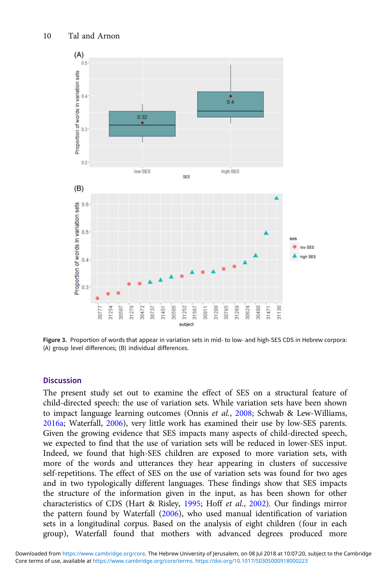<span id="page-9-0"></span>

Figure 3. Proportion of words that appear in variation sets in mid- to low- and high-SES CDS in Hebrew corpora: (A) group level differences; (B) individual differences.

## **Discussion**

The present study set out to examine the effect of SES on a structural feature of child-directed speech: the use of variation sets. While variation sets have been shown to impact language learning outcomes (Onnis et al., [2008;](#page-14-0) Schwab & Lew-Williams, [2016a](#page-14-0); Waterfall, [2006\)](#page-14-0), very little work has examined their use by low-SES parents. Given the growing evidence that SES impacts many aspects of child-directed speech, we expected to find that the use of variation sets will be reduced in lower-SES input. Indeed, we found that high-SES children are exposed to more variation sets, with more of the words and utterances they hear appearing in clusters of successive self-repetitions. The effect of SES on the use of variation sets was found for two ages and in two typologically different languages. These findings show that SES impacts the structure of the information given in the input, as has been shown for other characteristics of CDS (Hart & Risley, [1995;](#page-13-0) Hoff et al., [2002\)](#page-13-0). Our findings mirror the pattern found by Waterfall [\(2006\)](#page-14-0), who used manual identification of variation sets in a longitudinal corpus. Based on the analysis of eight children (four in each group), Waterfall found that mothers with advanced degrees produced more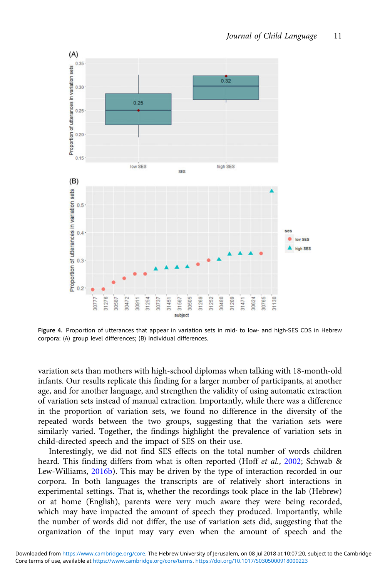<span id="page-10-0"></span>

Figure 4. Proportion of utterances that appear in variation sets in mid- to low- and high-SES CDS in Hebrew corpora: (A) group level differences; (B) individual differences.

variation sets than mothers with high-school diplomas when talking with 18-month-old infants. Our results replicate this finding for a larger number of participants, at another age, and for another language, and strengthen the validity of using automatic extraction of variation sets instead of manual extraction. Importantly, while there was a difference in the proportion of variation sets, we found no difference in the diversity of the repeated words between the two groups, suggesting that the variation sets were similarly varied. Together, the findings highlight the prevalence of variation sets in child-directed speech and the impact of SES on their use.

Interestingly, we did not find SES effects on the total number of words children heard. This finding differs from what is often reported (Hoff et al., [2002;](#page-13-0) Schwab & Lew-Williams, [2016b\)](#page-14-0). This may be driven by the type of interaction recorded in our corpora. In both languages the transcripts are of relatively short interactions in experimental settings. That is, whether the recordings took place in the lab (Hebrew) or at home (English), parents were very much aware they were being recorded, which may have impacted the amount of speech they produced. Importantly, while the number of words did not differ, the use of variation sets did, suggesting that the organization of the input may vary even when the amount of speech and the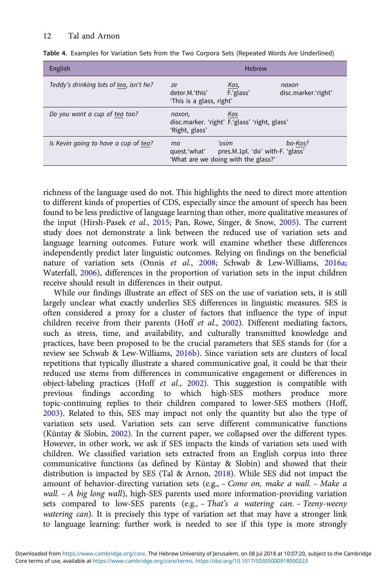| English                                 | Hebrew                                                                                                            |  |  |
|-----------------------------------------|-------------------------------------------------------------------------------------------------------------------|--|--|
| Teddy's drinking lots of tea, isn't he? | Kos,<br>ze<br>naxon<br>F.'glass'<br>deter.M.'this'<br>disc.marker.'right'<br>'This is a glass, right'             |  |  |
| Do you want a cup of tea too?           | Kos<br>naxon,<br>disc.marker. 'right' F.'glass' 'right, glass'<br>'Right, glass'                                  |  |  |
| Is Kevin going to have a cup of tea?    | 'osim<br>ba-Kos?<br>ma<br>pres.M.1pl. 'do' with-F. 'glass'<br>quest.'what'<br>'What are we doing with the glass?' |  |  |

<span id="page-11-0"></span>Table 4. Examples for Variation Sets from the Two Corpora Sets (Repeated Words Are Underlined)

richness of the language used do not. This highlights the need to direct more attention to different kinds of properties of CDS, especially since the amount of speech has been found to be less predictive of language learning than other, more qualitative measures of the input (Hirsh-Pasek et al., [2015;](#page-13-0) Pan, Rowe, Singer, & Snow, [2005](#page-14-0)). The current study does not demonstrate a link between the reduced use of variation sets and language learning outcomes. Future work will examine whether these differences independently predict later linguistic outcomes. Relying on findings on the beneficial nature of variation sets (Onnis et al., [2008](#page-14-0); Schwab & Lew-Williams, [2016a](#page-14-0); Waterfall, [2006\)](#page-14-0), differences in the proportion of variation sets in the input children receive should result in differences in their output.

While our findings illustrate an effect of SES on the use of variation sets, it is still largely unclear what exactly underlies SES differences in linguistic measures. SES is often considered a proxy for a cluster of factors that influence the type of input children receive from their parents (Hoff et al., [2002](#page-13-0)). Different mediating factors, such as stress, time, and availability, and culturally transmitted knowledge and practices, have been proposed to be the crucial parameters that SES stands for (for a review see Schwab & Lew-Williams, [2016b](#page-14-0)). Since variation sets are clusters of local repetitions that typically illustrate a shared communicative goal, it could be that their reduced use stems from differences in communicative engagement or differences in object-labeling practices (Hoff *et al.*, [2002](#page-13-0)). This suggestion is compatible with previous findings according to which high-SES mothers produce more topic-continuing replies to their children compared to lower-SES mothers (Hoff, [2003\)](#page-13-0). Related to this, SES may impact not only the quantity but also the type of variation sets used. Variation sets can serve different communicative functions (Küntay & Slobin, [2002](#page-13-0)). In the current paper, we collapsed over the different types. However, in other work, we ask if SES impacts the kinds of variation sets used with children. We classified variation sets extracted from an English corpus into three communicative functions (as defined by Küntay & Slobin) and showed that their distribution is impacted by SES (Tal & Arnon, [2018](#page-14-0)). While SES did not impact the amount of behavior-directing variation sets (e.g., – Come on, make a wall. – Make a wall. - A big long wall), high-SES parents used more information-providing variation sets compared to low-SES parents (e.g., – That's a watering can. – Teeny-weeny watering can). It is precisely this type of variation set that may have a stronger link to language learning: further work is needed to see if this type is more strongly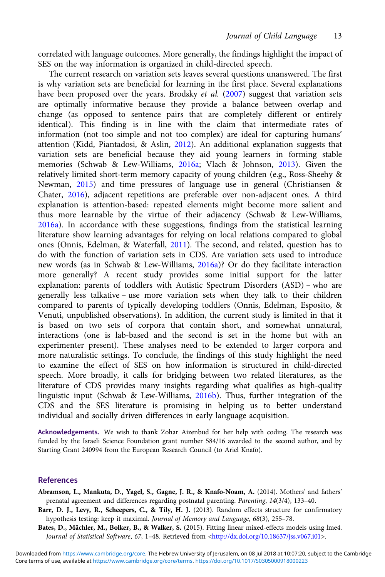<span id="page-12-0"></span>correlated with language outcomes. More generally, the findings highlight the impact of SES on the way information is organized in child-directed speech.

The current research on variation sets leaves several questions unanswered. The first is why variation sets are beneficial for learning in the first place. Several explanations have been proposed over the years. Brodsky et al. ([2007](#page-13-0)) suggest that variation sets are optimally informative because they provide a balance between overlap and change (as opposed to sentence pairs that are completely different or entirely identical). This finding is in line with the claim that intermediate rates of information (not too simple and not too complex) are ideal for capturing humans' attention (Kidd, Piantadosi, & Aslin, [2012\)](#page-13-0). An additional explanation suggests that variation sets are beneficial because they aid young learners in forming stable memories (Schwab & Lew-Williams, [2016a;](#page-14-0) Vlach & Johnson, [2013](#page-14-0)). Given the relatively limited short-term memory capacity of young children (e.g., Ross-Sheehy & Newman, [2015](#page-14-0)) and time pressures of language use in general (Christiansen & Chater, [2016\)](#page-13-0), adjacent repetitions are preferable over non-adjacent ones. A third explanation is attention-based: repeated elements might become more salient and thus more learnable by the virtue of their adjacency (Schwab & Lew-Williams, [2016a](#page-14-0)). In accordance with these suggestions, findings from the statistical learning literature show learning advantages for relying on local relations compared to global ones (Onnis, Edelman, & Waterfall, [2011](#page-14-0)). The second, and related, question has to do with the function of variation sets in CDS. Are variation sets used to introduce new words (as in Schwab & Lew-Williams, [2016a](#page-14-0))? Or do they facilitate interaction more generally? A recent study provides some initial support for the latter explanation: parents of toddlers with Autistic Spectrum Disorders (ASD) – who are generally less talkative – use more variation sets when they talk to their children compared to parents of typically developing toddlers (Onnis, Edelman, Esposito, & Venuti, unpublished observations). In addition, the current study is limited in that it is based on two sets of corpora that contain short, and somewhat unnatural, interactions (one is lab-based and the second is set in the home but with an experimenter present). These analyses need to be extended to larger corpora and more naturalistic settings. To conclude, the findings of this study highlight the need to examine the effect of SES on how information is structured in child-directed speech. More broadly, it calls for bridging between two related literatures, as the literature of CDS provides many insights regarding what qualifies as high-quality linguistic input (Schwab & Lew-Williams, [2016b](#page-14-0)). Thus, further integration of the CDS and the SES literature is promising in helping us to better understand individual and socially driven differences in early language acquisition.

Acknowledgements. We wish to thank Zohar Aizenbud for her help with coding. The research was funded by the Israeli Science Foundation grant number 584/16 awarded to the second author, and by Starting Grant 240994 from the European Research Council (to Ariel Knafo).

#### References

- Abramson, L., Mankuta, D., Yagel, S., Gagne, J. R., & Knafo-Noam, A. (2014). Mothers' and fathers' prenatal agreement and differences regarding postnatal parenting. Parenting, 14(3/4), 133–40.
- Barr, D. J., Levy, R., Scheepers, C., & Tily, H. J. (2013). Random effects structure for confirmatory hypothesis testing: keep it maximal. Journal of Memory and Language, 68(3), 255–78.
- Bates, D., Mächler, M., Bolker, B., & Walker, S. (2015). Fitting linear mixed-effects models using lme4. Journal of Statistical Software, 67, 1-48. Retrieved from [<http://dx.doi.org/10.18637/jss.v067.i01](http://dx.doi.org/10.18637/jss.v067.i01)>.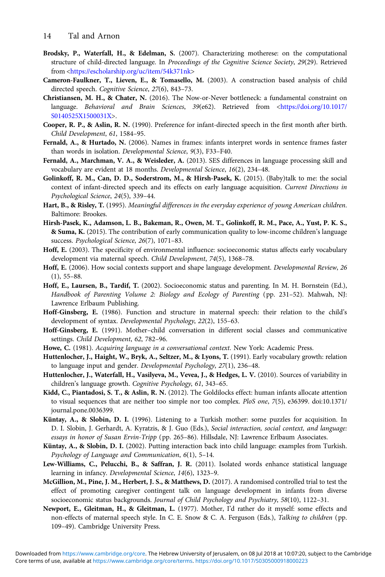- <span id="page-13-0"></span>Brodsky, P., Waterfall, H., & Edelman, S. (2007). Characterizing motherese: on the computational structure of child-directed language. In Proceedings of the Cognitive Science Society, 29(29). Retrieved from <<https://escholarship.org/uc/item/54k371nk>>
- Cameron-Faulkner, T., Lieven, E., & Tomasello, M. (2003). A construction based analysis of child directed speech. Cognitive Science, 27(6), 843–73.
- Christiansen, M. H., & Chater, N. (2016). The Now-or-Never bottleneck: a fundamental constraint on language. Behavioral and Brain Sciences, 39(e62). Retrieved from <[https://doi.org/10.1017/](https://doi.org/10.1017/S0140525X1500031X) [S0140525X1500031X>](https://doi.org/10.1017/S0140525X1500031X).
- Cooper, R. P., & Aslin, R. N. (1990). Preference for infant-directed speech in the first month after birth. Child Development, 61, 1584–95.
- Fernald, A., & Hurtado, N. (2006). Names in frames: infants interpret words in sentence frames faster than words in isolation. Developmental Science, 9(3), F33-F40.
- Fernald, A., Marchman, V. A., & Weisleder, A. (2013). SES differences in language processing skill and vocabulary are evident at 18 months. Developmental Science, 16(2), 234–48.
- Golinkoff, R. M., Can, D. D., Soderstrom, M., & Hirsh-Pasek, K. (2015). (Baby)talk to me: the social context of infant-directed speech and its effects on early language acquisition. Current Directions in Psychological Science, 24(5), 339–44.
- Hart, B., & Risley, T. (1995). Meaningful differences in the everyday experience of young American children. Baltimore: Brookes.
- Hirsh-Pasek, K., Adamson, L. B., Bakeman, R., Owen, M. T., Golinkoff, R. M., Pace, A., Yust, P. K. S., & Suma, K. (2015). The contribution of early communication quality to low-income children's language success. Psychological Science, 26(7), 1071–83.
- Hoff, E. (2003). The specificity of environmental influence: socioeconomic status affects early vocabulary development via maternal speech. Child Development, 74(5), 1368–78.
- Hoff, E. (2006). How social contexts support and shape language development. Developmental Review, 26 (1), 55–88.
- Hoff, E., Laursen, B., Tardif, T. (2002). Socioeconomic status and parenting. In M. H. Bornstein (Ed.), Handbook of Parenting Volume 2: Biology and Ecology of Parenting (pp. 231–52). Mahwah, NJ: Lawrence Erlbaum Publishing.
- Hoff-Ginsberg, E. (1986). Function and structure in maternal speech: their relation to the child's development of syntax. Developmental Psychology, 22(2), 155–63.
- Hoff-Ginsberg, E. (1991). Mother–child conversation in different social classes and communicative settings. Child Development, 62, 782–96.
- Howe, C. (1981). Acquiring language in a conversational context. New York: Academic Press.
- Huttenlocher, J., Haight, W., Bryk, A., Seltzer, M., & Lyons, T. (1991). Early vocabulary growth: relation to language input and gender. Developmental Psychology, 27(1), 236-48.
- Huttenlocher, J., Waterfall, H., Vasilyeva, M., Vevea, J., & Hedges, L. V. (2010). Sources of variability in children's language growth. Cognitive Psychology, 61, 343–65.
- Kidd, C., Piantadosi, S. T., & Aslin, R. N. (2012). The Goldilocks effect: human infants allocate attention to visual sequences that are neither too simple nor too complex. PloS one, 7(5), e36399. doi:10.1371/ journal.pone.0036399.
- Küntay, A., & Slobin, D. I. (1996). Listening to a Turkish mother: some puzzles for acquisition. In D. I. Slobin, J. Gerhardt, A. Kyratzis, & J. Guo (Eds.), Social interaction, social context, and language: essays in honor of Susan Ervin-Tripp (pp. 265-86). Hillsdale, NJ: Lawrence Erlbaum Associates.
- Küntay, A., & Slobin, D. I. (2002). Putting interaction back into child language: examples from Turkish. Psychology of Language and Communication, 6(1), 5–14.
- Lew-Williams, C., Pelucchi, B., & Saffran, J. R. (2011). Isolated words enhance statistical language learning in infancy. Developmental Science, 14(6), 1323–9.
- McGillion, M., Pine, J. M., Herbert, J. S., & Matthews, D. (2017). A randomised controlled trial to test the effect of promoting caregiver contingent talk on language development in infants from diverse socioeconomic status backgrounds. Journal of Child Psychology and Psychiatry, 58(10), 1122-31.
- Newport, E., Gleitman, H., & Gleitman, L. (1977). Mother, I'd rather do it myself: some effects and non-effects of maternal speech style. In C. E. Snow & C. A. Ferguson (Eds.), Talking to children (pp. 109–49). Cambridge University Press.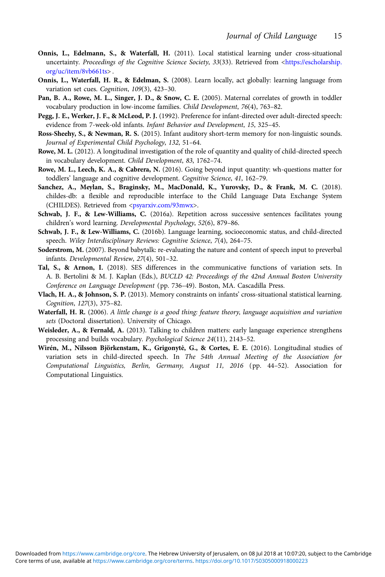- <span id="page-14-0"></span>Onnis, L., Edelmann, S., & Waterfall, H. (2011). Local statistical learning under cross-situational uncertainty. Proceedings of the Cognitive Science Society, 33(33). Retrieved from [<https://escholarship.](https://escholarship.org/uc/item/8vb661ts) [org/uc/item/8vb661ts>](https://escholarship.org/uc/item/8vb661ts) .
- Onnis, L., Waterfall, H. R., & Edelman, S. (2008). Learn locally, act globally: learning language from variation set cues. Cognition, 109(3), 423–30.
- Pan, B. A., Rowe, M. L., Singer, J. D., & Snow, C. E. (2005). Maternal correlates of growth in toddler vocabulary production in low-income families. Child Development, 76(4), 763–82.
- Pegg, J. E., Werker, J. F., & McLeod, P. J. (1992). Preference for infant-directed over adult-directed speech: evidence from 7-week-old infants. Infant Behavior and Development, 15, 325–45.
- Ross-Sheehy, S., & Newman, R. S. (2015). Infant auditory short-term memory for non-linguistic sounds. Journal of Experimental Child Psychology, 132, 51–64.
- Rowe, M. L. (2012). A longitudinal investigation of the role of quantity and quality of child-directed speech in vocabulary development. Child Development, 83, 1762–74.
- Rowe, M. L., Leech, K. A., & Cabrera, N. (2016). Going beyond input quantity: wh-questions matter for toddlers' language and cognitive development. Cognitive Science, 41, 162–79.
- Sanchez, A., Meylan, S., Braginsky, M., MacDonald, K., Yurovsky, D., & Frank, M. C. (2018). childes-db: a flexible and reproducible interface to the Child Language Data Exchange System (CHILDES). Retrieved from <[psyarxiv.com/93mwx](http://psyarxiv.com/93mwx)>.
- Schwab, J. F., & Lew-Williams, C. (2016a). Repetition across successive sentences facilitates young children's word learning. Developmental Psychology, 52(6), 879–86.
- Schwab, J. F., & Lew-Williams, C. (2016b). Language learning, socioeconomic status, and child-directed speech. Wiley Interdisciplinary Reviews: Cognitive Science, 7(4), 264–75.
- Soderstrom, M. (2007). Beyond babytalk: re-evaluating the nature and content of speech input to preverbal infants. Developmental Review, 27(4), 501–32.
- Tal, S., & Arnon, I. (2018). SES differences in the communicative functions of variation sets. In A. B. Bertolini & M. J. Kaplan (Eds.), BUCLD 42: Proceedings of the 42nd Annual Boston University Conference on Language Development (pp. 736–49). Boston, MA. Cascadilla Press.
- Vlach, H. A., & Johnson, S. P. (2013). Memory constraints on infants' cross-situational statistical learning. Cognition, 127(3), 375–82.
- Waterfall, H. R. (2006). A little change is a good thing: feature theory, language acquisition and variation sets (Doctoral dissertation). University of Chicago.
- Weisleder, A., & Fernald, A. (2013). Talking to children matters: early language experience strengthens processing and builds vocabulary. Psychological Science 24(11), 2143–52.
- Wirén, M., Nilsson Björkenstam, K., Grigonytė, G., & Cortes, E. E. (2016). Longitudinal studies of variation sets in child-directed speech. In The 54th Annual Meeting of the Association for Computational Linguistics, Berlin, Germany, August 11, 2016 (pp. 44–52). Association for Computational Linguistics.